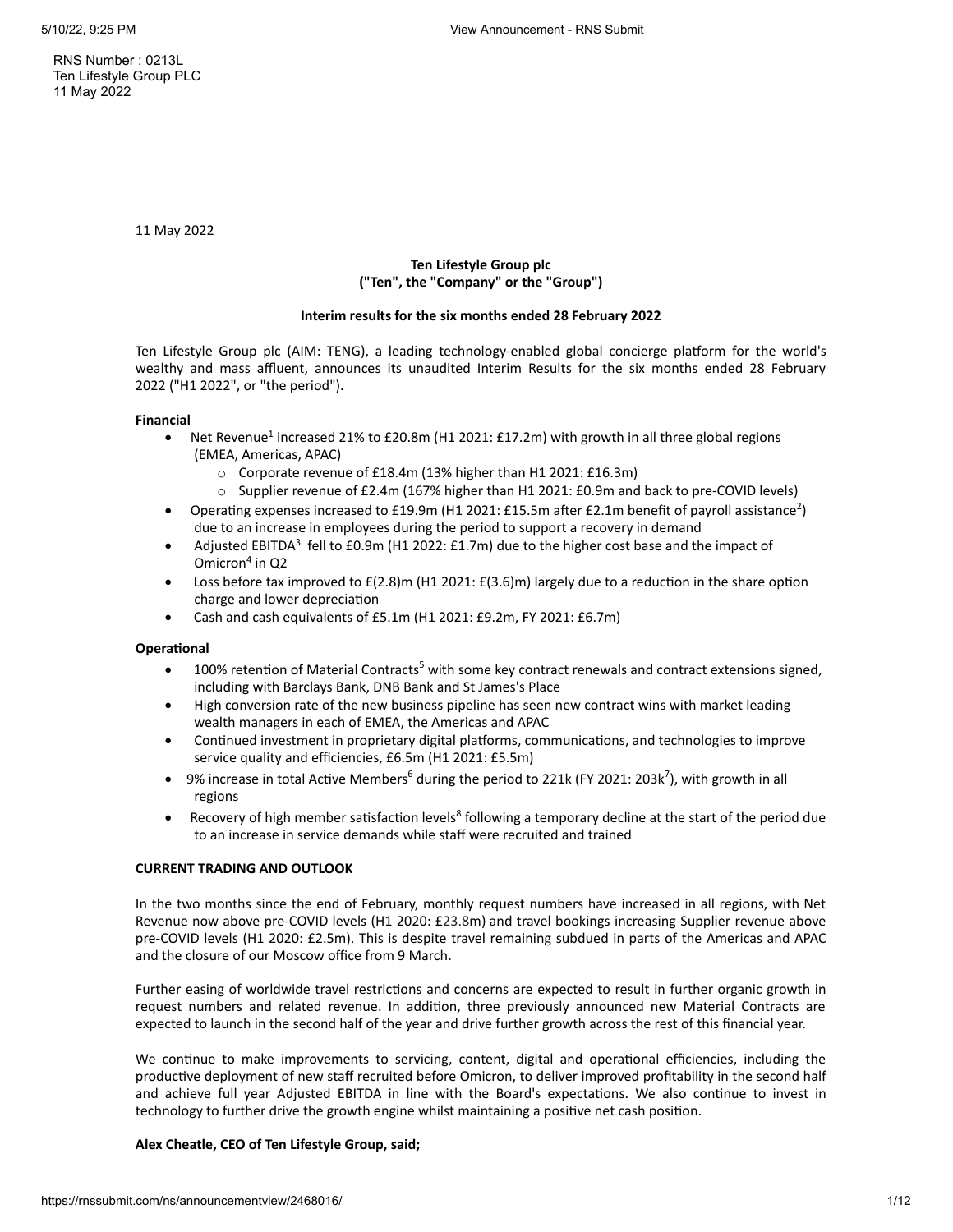RNS Number : 0213L Ten Lifestyle Group PLC 11 May 2022

11 May 2022

# **Ten Lifestyle Group plc ("Ten", the "Company" or the "Group")**

# **Interim results for the six months ended 28 February 2022**

Ten Lifestyle Group plc (AIM: TENG), a leading technology-enabled global concierge platform for the world's wealthy and mass affluent, announces its unaudited Interim Results for the six months ended 28 February 2022 ("H1 2022", or "the period").

## **Financial**

- Net Revenue<sup>1</sup> increased 21% to £20.8m (H1 2021: £17.2m) with growth in all three global regions (EMEA, Americas, APAC)
	- o Corporate revenue of £18.4m (13% higher than H1 2021: £16.3m)
	- o Supplier revenue of £2.4m (167% higher than H1 2021: £0.9m and back to pre-COVID levels)
- Operating expenses increased to £19.9m (H1 2021: £15.5m after £2.1m benefit of payroll assistance<sup>2</sup>) due to an increase in employees during the period to support a recovery in demand
- Adjusted EBITDA<sup>3</sup> fell to £0.9m (H1 2022: £1.7m) due to the higher cost base and the impact of Omicron 4 in Q2
- Loss before tax improved to  $E(2.8)$ m (H1 2021:  $E(3.6)$ m) largely due to a reduction in the share option charge and lower depreciation
- · Cash and cash equivalents of £5.1m (H1 2021: £9.2m, FY 2021: £6.7m)

# **Operational**

- 100% retention of Material Contracts<sup>5</sup> with some key contract renewals and contract extensions signed, including with Barclays Bank, DNB Bank and St James's Place
- · High conversion rate of the new business pipeline has seen new contract wins with market leading wealth managers in each of EMEA, the Americas and APAC
- · Continued investment in proprietary digital platforms, communications, and technologies to improve service quality and efficiencies, £6.5m (H1 2021: £5.5m)
- 9% increase in total Active Members<sup>6</sup> during the period to 221k (FY 2021: 203k<sup>7</sup>), with growth in all regions
- Recovery of high member satisfaction levels<sup>8</sup> following a temporary decline at the start of the period due to an increase in service demands while staff were recruited and trained

# **CURRENT TRADING AND OUTLOOK**

In the two months since the end of February, monthly request numbers have increased in all regions, with Net Revenue now above pre-COVID levels (H1 2020: £23.8m) and travel bookings increasing Supplier revenue above pre-COVID levels (H1 2020: £2.5m). This is despite travel remaining subdued in parts of the Americas and APAC and the closure of our Moscow office from 9 March.

Further easing of worldwide travel restrictions and concerns are expected to result in further organic growth in request numbers and related revenue. In addition, three previously announced new Material Contracts are expected to launch in the second half of the year and drive further growth across the rest of this financial year.

We continue to make improvements to servicing, content, digital and operational efficiencies, including the productive deployment of new staff recruited before Omicron, to deliver improved profitability in the second half and achieve full year Adjusted EBITDA in line with the Board's expectations. We also continue to invest in technology to further drive the growth engine whilst maintaining a positive net cash position.

# **Alex Cheatle, CEO of Ten Lifestyle Group, said;**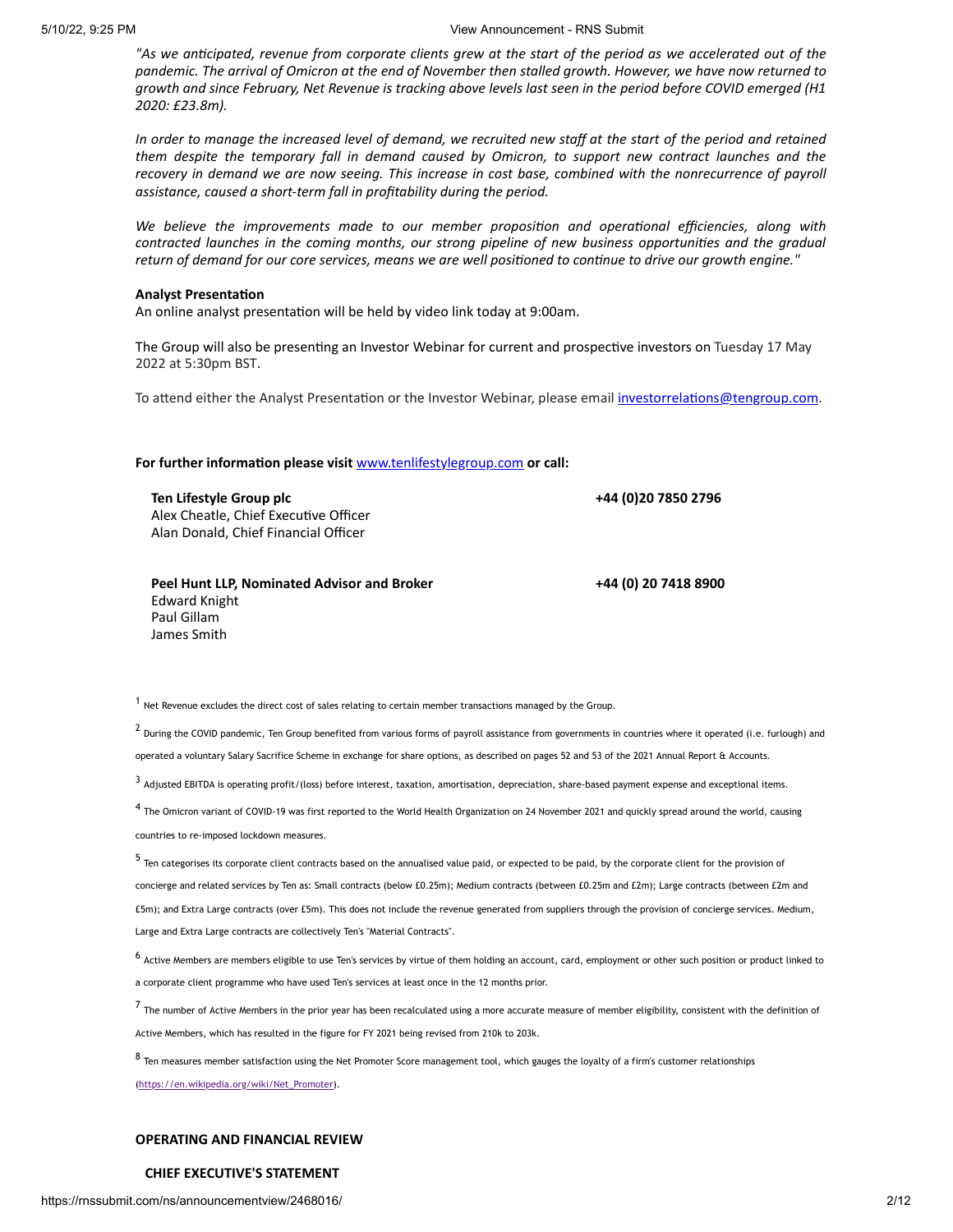"As we anticipated, revenue from corporate clients grew at the start of the period as we accelerated out of the pandemic. The arrival of Omicron at the end of November then stalled growth. However, we have now returned to growth and since February, Net Revenue is tracking above levels last seen in the period before COVID emerged (H1 *2020: £23.8m).*

In order to manage the increased level of demand, we recruited new staff at the start of the period and retained *them despite the temporary fall in demand caused by Omicron, to support new contract launches and the* recovery in demand we are now seeing. This increase in cost base, combined with the nonrecurrence of payroll *assistance, caused a short-term fall in profitability during the period.*

*We believe the improvements made to our member proposition and operational efficiencies, along with contracted launches in the coming months, our strong pipeline of new business opportunities and the gradual* return of demand for our core services, means we are well positioned to continue to drive our growth engine."

#### **Analyst Presentation**

An online analyst presentation will be held by video link today at 9:00am.

The Group will also be presenting an Investor Webinar for current and prospective investors on Tuesday 17 May 2022 at 5:30pm BST.

To attend either the Analyst Presentation or the Investor Webinar, please email [investorrelations@tengroup.com](mailto:investorrelations@tengroup.com).

**For further information please visit** [www.tenlifestylegroup.com](http://www.tenlifestylegroup.com/) **or call:**

**Ten Lifestyle Group plc** Alex Cheatle, Chief Executive Officer Alan Donald, Chief Financial Officer

**Peel Hunt LLP, Nominated Advisor and Broker** Edward Knight Paul Gillam James Smith

**+44 (0)20 7850 2796**

**+44 (0) 20 7418 8900**

 $<sup>1</sup>$  Net Revenue excludes the direct cost of sales relating to certain member transactions managed by the Group.</sup>

 $^2$  During the COVID pandemic, Ten Group benefited from various forms of payroll assistance from governments in countries where it operated (i.e. furlough) and operated a voluntary Salary Sacrifice Scheme in exchange for share options, as described on pages 52 and 53 of the 2021 Annual Report & Accounts.

 $3$  Adjusted EBITDA is operating profit/(loss) before interest, taxation, amortisation, depreciation, share-based payment expense and exceptional items.

<sup>4</sup> The Omicron variant of COVID-19 was first reported to the World Health Organization on 24 November 2021 and quickly spread around the world, causing countries to re-imposed lockdown measures.

<sup>5</sup> Ten categorises its corporate client contracts based on the annualised value paid, or expected to be paid, by the corporate client for the provision of concierge and related services by Ten as: Small contracts (below £0.25m); Medium contracts (between £0.25m and £2m); Large contracts (between £2m and £5m); and Extra Large contracts (over £5m). This does not include the revenue generated from suppliers through the provision of concierge services. Medium, Large and Extra Large contracts are collectively Ten's "Material Contracts".

<sup>6</sup> Active Members are members eligible to use Ten's services by virtue of them holding an account, card, employment or other such position or product linked to a corporate client programme who have used Ten's services at least once in the 12 months prior.

<sup>7</sup> The number of Active Members in the prior year has been recalculated using <sup>a</sup> more accurate measure of member eligibility, consistent with the definition of Active Members, which has resulted in the figure for FY 2021 being revised from 210k to 203k.

<sup>8</sup> Ten measures member satisfaction using the Net Promoter Score management tool, which gauges the loyalty of <sup>a</sup> firm's customer relationships [\(https://en.wikipedia.org/wiki/Net\\_Promoter](https://en.wikipedia.org/wiki/Net_Promoter)).

# **OPERATING AND FINANCIAL REVIEW**

# **CHIEF EXECUTIVE'S STATEMENT**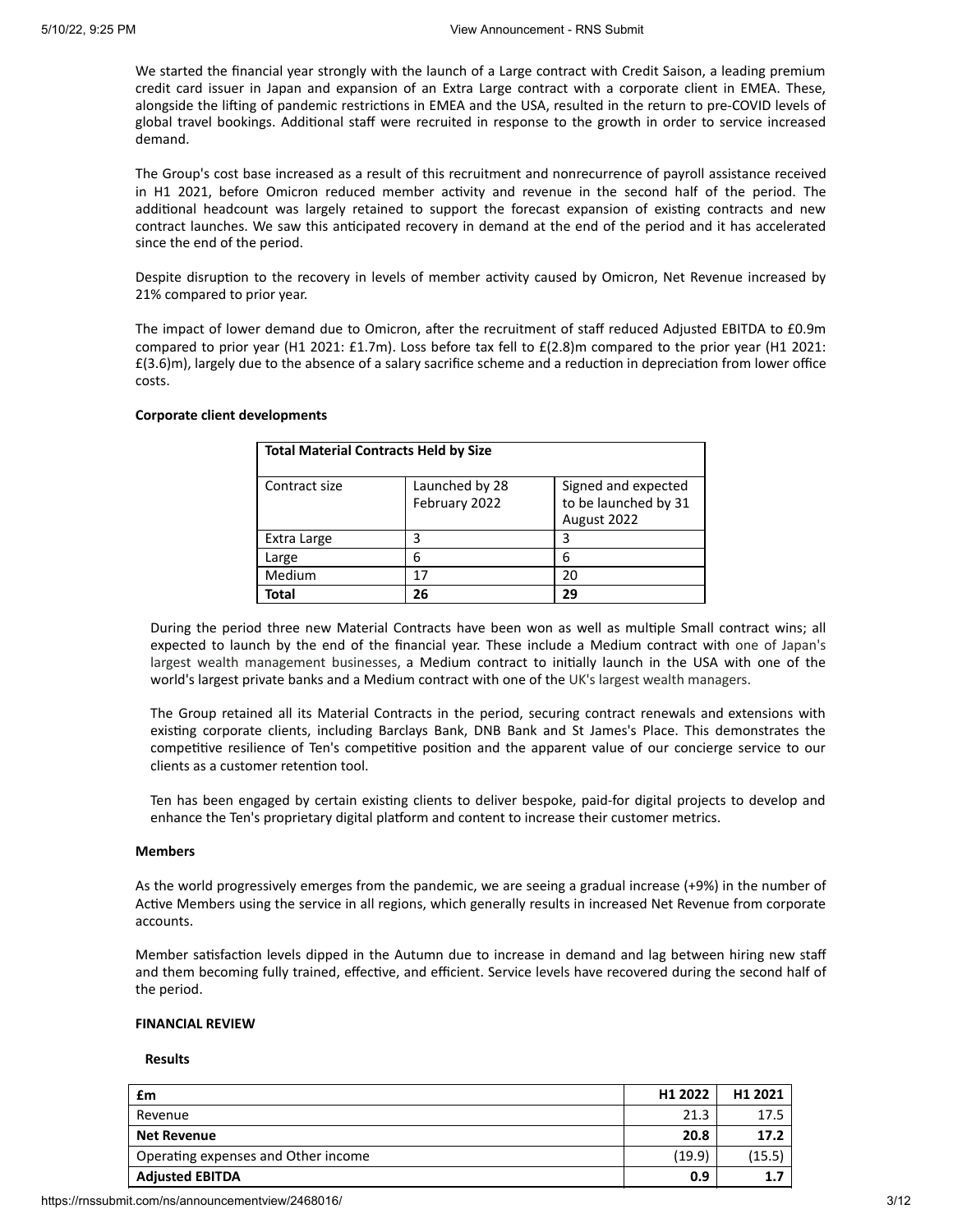We started the financial year strongly with the launch of a Large contract with Credit Saison, a leading premium credit card issuer in Japan and expansion of an Extra Large contract with a corporate client in EMEA. These, alongside the lifting of pandemic restrictions in EMEA and the USA, resulted in the return to pre-COVID levels of global travel bookings. Additional staff were recruited in response to the growth in order to service increased demand.

The Group's cost base increased as a result of this recruitment and nonrecurrence of payroll assistance received in H1 2021, before Omicron reduced member activity and revenue in the second half of the period. The additional headcount was largely retained to support the forecast expansion of existing contracts and new contract launches. We saw this anticipated recovery in demand at the end of the period and it has accelerated since the end of the period.

Despite disruption to the recovery in levels of member activity caused by Omicron, Net Revenue increased by 21% compared to prior year.

The impact of lower demand due to Omicron, after the recruitment of staff reduced Adjusted EBITDA to £0.9m compared to prior year (H1 2021: £1.7m). Loss before tax fell to £(2.8)m compared to the prior year (H1 2021: £(3.6)m), largely due to the absence of a salary sacrifice scheme and a reduction in depreciation from lower office costs.

#### **Corporate client developments**

| <b>Total Material Contracts Held by Size</b> |                                 |                                                            |
|----------------------------------------------|---------------------------------|------------------------------------------------------------|
| Contract size                                | Launched by 28<br>February 2022 | Signed and expected<br>to be launched by 31<br>August 2022 |
| Extra Large                                  | 3                               | 3                                                          |
| Large                                        | 6                               | հ                                                          |
| Medium                                       | 17                              | 20                                                         |
| Total                                        | 26                              | 29                                                         |

During the period three new Material Contracts have been won as well as multiple Small contract wins; all expected to launch by the end of the financial year. These include a Medium contract with one of Japan's largest wealth management businesses, a Medium contract to initially launch in the USA with one of the world's largest private banks and a Medium contract with one of the UK's largest wealth managers.

The Group retained all its Material Contracts in the period, securing contract renewals and extensions with existing corporate clients, including Barclays Bank, DNB Bank and St James's Place. This demonstrates the competitive resilience of Ten's competitive position and the apparent value of our concierge service to our clients as a customer retention tool.

Ten has been engaged by certain existing clients to deliver bespoke, paid-for digital projects to develop and enhance the Ten's proprietary digital platform and content to increase their customer metrics.

## **Members**

As the world progressively emerges from the pandemic, we are seeing a gradual increase (+9%) in the number of Active Members using the service in all regions, which generally results in increased Net Revenue from corporate accounts.

Member satisfaction levels dipped in the Autumn due to increase in demand and lag between hiring new staff and them becoming fully trained, effective, and efficient. Service levels have recovered during the second half of the period.

#### **FINANCIAL REVIEW**

#### **Results**

| £m                                  | H1 2022 | H <sub>1</sub> 2021 |
|-------------------------------------|---------|---------------------|
| Revenue                             | 21.3    | 17.5                |
| <b>Net Revenue</b>                  | 20.8    | 17.2                |
| Operating expenses and Other income | (19.9)  | 15.5                |
| <b>Adjusted EBITDA</b>              | 0.9     | 1.                  |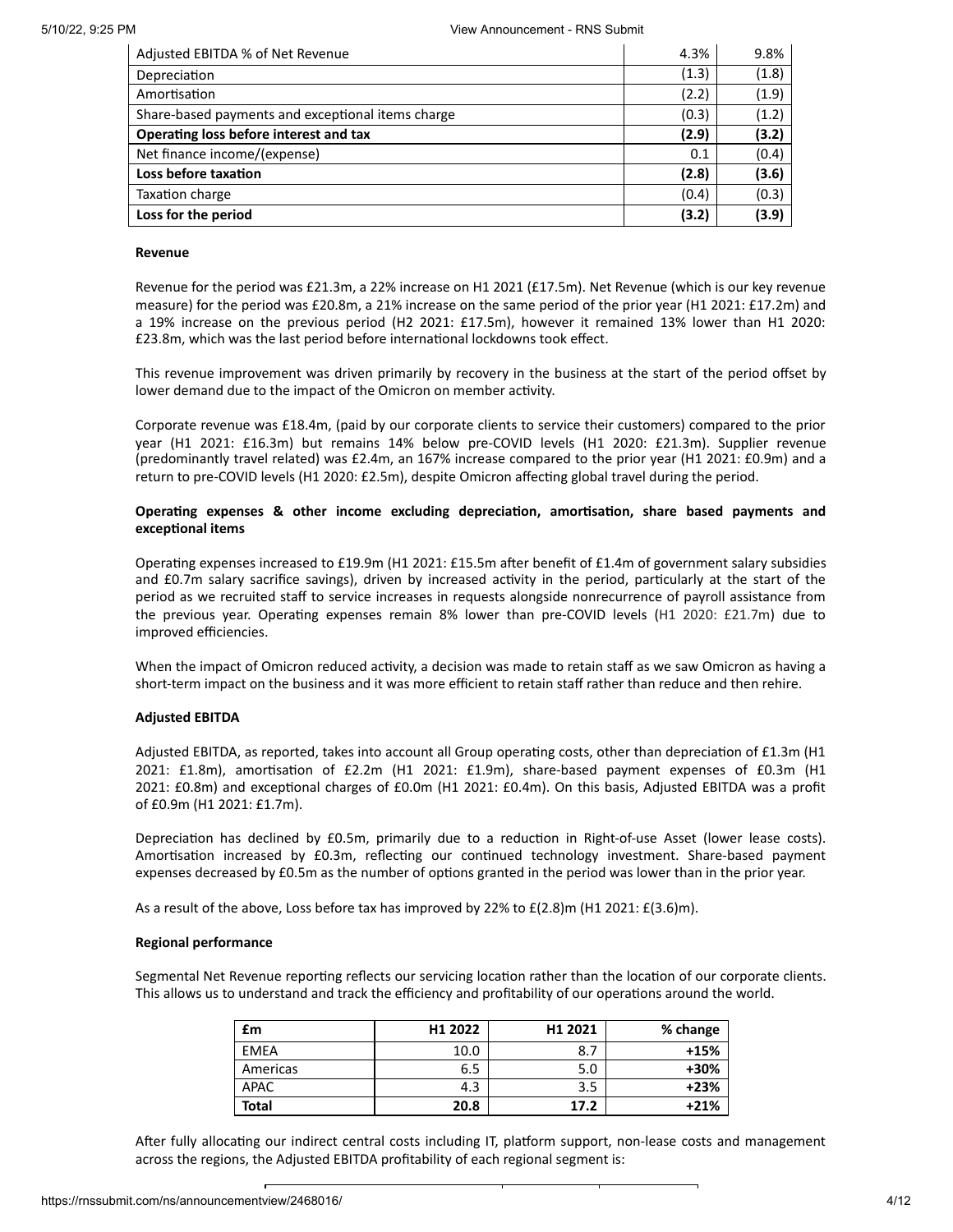| Adjusted EBITDA % of Net Revenue                  | 4.3%  | 9.8%  |
|---------------------------------------------------|-------|-------|
| Depreciation                                      | (1.3) | (1.8) |
| Amortisation                                      | (2.2) | (1.9) |
| Share-based payments and exceptional items charge | (0.3) | (1.2) |
| Operating loss before interest and tax            | (2.9) | (3.2) |
| Net finance income/(expense)                      | 0.1   | (0.4) |
| Loss before taxation                              | (2.8) | (3.6) |
| Taxation charge                                   | (0.4) | (0.3) |
| Loss for the period                               | (3.2) | (3.9) |

## **Revenue**

Revenue for the period was £21.3m, a 22% increase on H1 2021 (£17.5m). Net Revenue (which is our key revenue measure) for the period was £20.8m, a 21% increase on the same period of the prior year (H1 2021: £17.2m) and a 19% increase on the previous period (H2 2021: £17.5m), however it remained 13% lower than H1 2020: £23.8m, which was the last period before international lockdowns took effect.

This revenue improvement was driven primarily by recovery in the business at the start of the period offset by lower demand due to the impact of the Omicron on member activity.

Corporate revenue was £18.4m, (paid by our corporate clients to service their customers) compared to the prior year (H1 2021: £16.3m) but remains 14% below pre-COVID levels (H1 2020: £21.3m). Supplier revenue (predominantly travel related) was £2.4m, an 167% increase compared to the prior year (H1 2021: £0.9m) and a return to pre-COVID levels (H1 2020: £2.5m), despite Omicron affecting global travel during the period.

# **Operating expenses & other income excluding depreciation, amortisation, share based payments and exceptional items**

Operating expenses increased to £19.9m (H1 2021: £15.5m after benefit of £1.4m of government salary subsidies and £0.7m salary sacrifice savings), driven by increased activity in the period, particularly at the start of the period as we recruited staff to service increases in requests alongside nonrecurrence of payroll assistance from the previous year. Operating expenses remain 8% lower than pre-COVID levels (H1 2020: £21.7m) due to improved efficiencies.

When the impact of Omicron reduced activity, a decision was made to retain staff as we saw Omicron as having a short-term impact on the business and it was more efficient to retain staff rather than reduce and then rehire.

### **Adjusted EBITDA**

Adjusted EBITDA, as reported, takes into account all Group operating costs, other than depreciation of £1.3m (H1 2021: £1.8m), amortisation of £2.2m (H1 2021: £1.9m), share-based payment expenses of £0.3m (H1 2021: £0.8m) and exceptional charges of £0.0m (H1 2021: £0.4m). On this basis, Adjusted EBITDA was a profit of £0.9m (H1 2021: £1.7m).

Depreciation has declined by £0.5m, primarily due to a reduction in Right-of-use Asset (lower lease costs). Amortisation increased by £0.3m, reflecting our continued technology investment. Share-based payment expenses decreased by £0.5m as the number of options granted in the period was lower than in the prior year.

As a result of the above, Loss before tax has improved by 22% to  $£(2.8)$ m (H1 2021:  $£(3.6)$ m).

### **Regional performance**

Segmental Net Revenue reporting reflects our servicing location rather than the location of our corporate clients. This allows us to understand and track the efficiency and profitability of our operations around the world.

| £m           | H1 2022 | H1 2021 | % change |
|--------------|---------|---------|----------|
| <b>EMEA</b>  | 10.0    | 8.7     | $+15%$   |
| Americas     | 6.5     | 5.0     | +30%     |
| <b>APAC</b>  | 4.3     | 3.5     | $+23%$   |
| <b>Total</b> | 20.8    | 17.2    | $+21%$   |

After fully allocating our indirect central costs including IT, platform support, non-lease costs and management across the regions, the Adjusted EBITDA profitability of each regional segment is: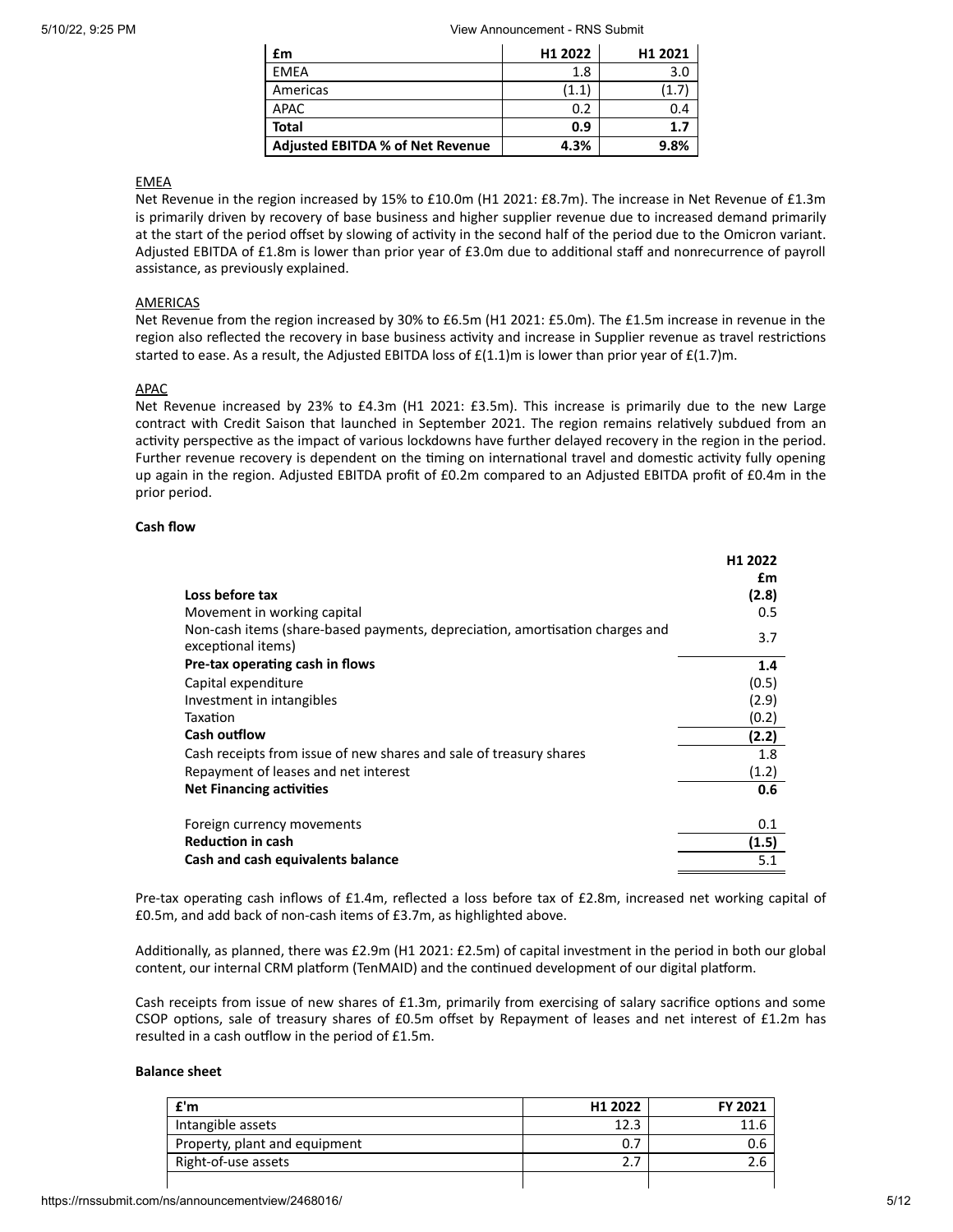| £m                                      | H1 2022 | H <sub>1</sub> 2021 |
|-----------------------------------------|---------|---------------------|
| EMEA                                    | 1.8     | 3.0                 |
| Americas                                | (1.1)   |                     |
| APAC                                    | 0.2     | 0.4                 |
| <b>Total</b>                            | 0.9     | 1.7                 |
| <b>Adjusted EBITDA % of Net Revenue</b> | 4.3%    | 9.8%                |

# EMEA

Net Revenue in the region increased by 15% to £10.0m (H1 2021: £8.7m). The increase in Net Revenue of £1.3m is primarily driven by recovery of base business and higher supplier revenue due to increased demand primarily at the start of the period offset by slowing of activity in the second half of the period due to the Omicron variant. Adjusted EBITDA of £1.8m is lower than prior year of £3.0m due to additional staff and nonrecurrence of payroll assistance, as previously explained.

# **AMERICAS**

Net Revenue from the region increased by 30% to £6.5m (H1 2021: £5.0m). The £1.5m increase in revenue in the region also reflected the recovery in base business activity and increase in Supplier revenue as travel restrictions started to ease. As a result, the Adjusted EBITDA loss of  $E(1.1)$ m is lower than prior year of  $E(1.7)$ m.

## APAC

Net Revenue increased by 23% to £4.3m (H1 2021: £3.5m). This increase is primarily due to the new Large contract with Credit Saison that launched in September 2021. The region remains relatively subdued from an activity perspective as the impact of various lockdowns have further delayed recovery in the region in the period. Further revenue recovery is dependent on the timing on international travel and domestic activity fully opening up again in the region. Adjusted EBITDA profit of £0.2m compared to an Adjusted EBITDA profit of £0.4m in the prior period.

## **Cash flow**

|                                                                                                    | H <sub>1</sub> 2022<br>£m |
|----------------------------------------------------------------------------------------------------|---------------------------|
| Loss before tax                                                                                    | (2.8)                     |
| Movement in working capital                                                                        | 0.5                       |
| Non-cash items (share-based payments, depreciation, amortisation charges and<br>exceptional items) | 3.7                       |
| Pre-tax operating cash in flows                                                                    | 1.4                       |
| Capital expenditure                                                                                | (0.5)                     |
| Investment in intangibles                                                                          | (2.9)                     |
| Taxation                                                                                           | (0.2)                     |
| <b>Cash outflow</b>                                                                                | (2.2)                     |
| Cash receipts from issue of new shares and sale of treasury shares                                 | 1.8                       |
| Repayment of leases and net interest                                                               | (1.2)                     |
| <b>Net Financing activities</b>                                                                    | 0.6                       |
| Foreign currency movements                                                                         | 0.1                       |
| <b>Reduction in cash</b>                                                                           | (1.5)                     |
| Cash and cash equivalents balance                                                                  | 5.1                       |

Pre-tax operating cash inflows of £1.4m, reflected a loss before tax of £2.8m, increased net working capital of £0.5m, and add back of non-cash items of £3.7m, as highlighted above.

Additionally, as planned, there was £2.9m (H1 2021: £2.5m) of capital investment in the period in both our global content, our internal CRM platform (TenMAID) and the continued development of our digital platform.

Cash receipts from issue of new shares of £1.3m, primarily from exercising of salary sacrifice options and some CSOP options, sale of treasury shares of £0.5m offset by Repayment of leases and net interest of £1.2m has resulted in a cash outflow in the period of £1.5m.

### **Balance sheet**

| f'm                           | H1 2022 | FY 2021 |
|-------------------------------|---------|---------|
| Intangible assets             | 12.3    | 11.6    |
| Property, plant and equipment |         | 0.6     |
| Right-of-use assets           |         | 2.6     |
|                               |         |         |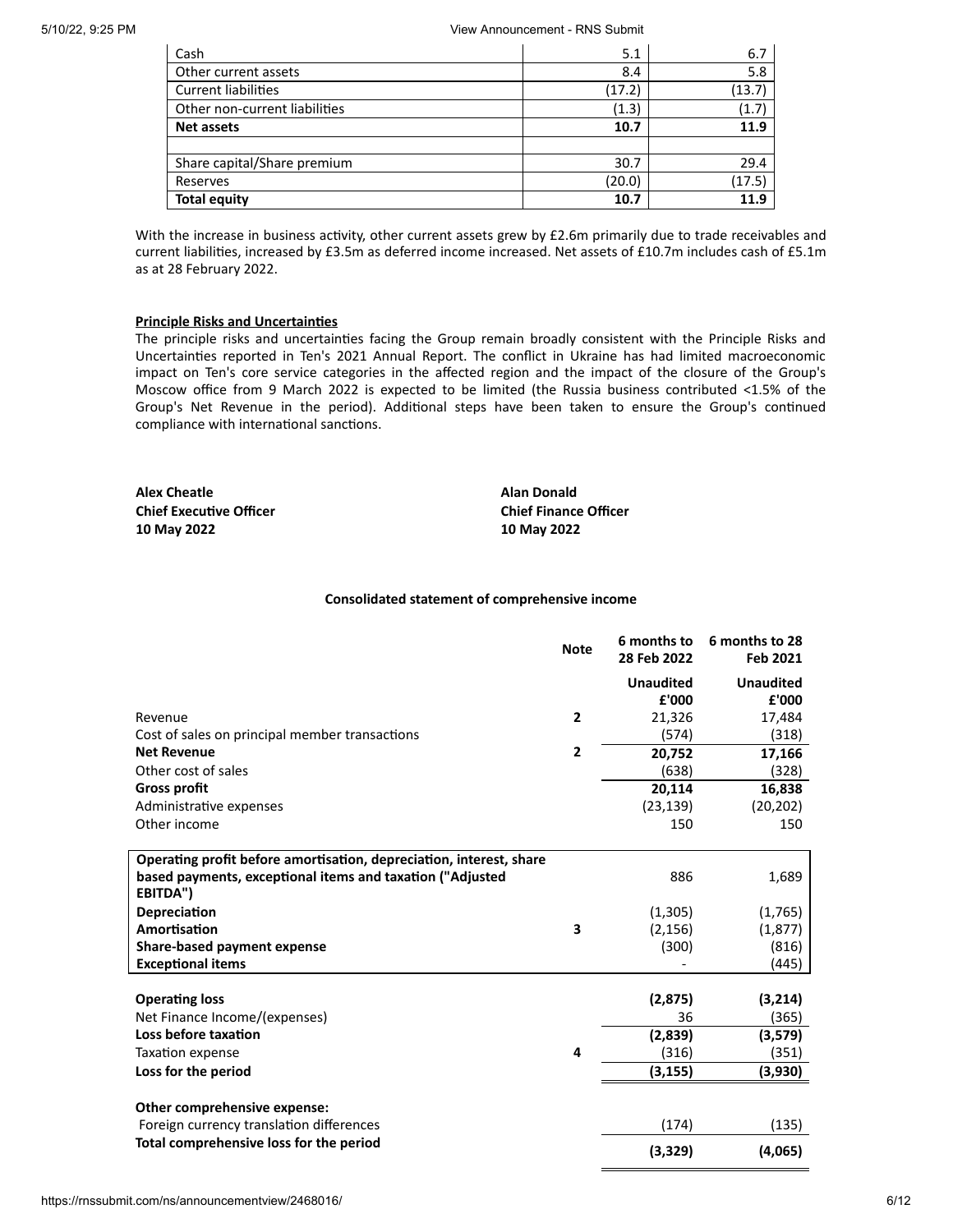| Cash                          | 5.1    | 6.7    |
|-------------------------------|--------|--------|
| Other current assets          | 8.4    | 5.8    |
| <b>Current liabilities</b>    | (17.2) | (13.7) |
| Other non-current liabilities | (1.3)  | (1.7)  |
| <b>Net assets</b>             | 10.7   | 11.9   |
|                               |        |        |
| Share capital/Share premium   | 30.7   | 29.4   |
| Reserves                      | (20.0) | (17.5) |
| <b>Total equity</b>           | 10.7   | 11.9   |

With the increase in business activity, other current assets grew by £2.6m primarily due to trade receivables and current liabilities, increased by £3.5m as deferred income increased. Net assets of £10.7m includes cash of £5.1m as at 28 February 2022.

## **Principle Risks and Uncertainties**

The principle risks and uncertainties facing the Group remain broadly consistent with the Principle Risks and Uncertainties reported in Ten's 2021 Annual Report. The conflict in Ukraine has had limited macroeconomic impact on Ten's core service categories in the affected region and the impact of the closure of the Group's Moscow office from 9 March 2022 is expected to be limited (the Russia business contributed <1.5% of the Group's Net Revenue in the period). Additional steps have been taken to ensure the Group's continued compliance with international sanctions.

**Alex Cheatle Alan Donald Chief Executive Officer Chief Finance Officer 10 May 2022 10 May 2022**

## **Consolidated statement of comprehensive income**

|                                                                       | <b>Note</b>    | 6 months to<br>28 Feb 2022 | 6 months to 28<br>Feb 2021 |
|-----------------------------------------------------------------------|----------------|----------------------------|----------------------------|
|                                                                       |                | <b>Unaudited</b>           | <b>Unaudited</b>           |
|                                                                       |                | £'000                      | £'000                      |
| Revenue                                                               | $\overline{2}$ | 21,326                     | 17,484                     |
| Cost of sales on principal member transactions                        |                | (574)                      | (318)                      |
| <b>Net Revenue</b>                                                    | $\overline{2}$ | 20,752                     | 17,166                     |
| Other cost of sales                                                   |                | (638)                      | (328)                      |
| <b>Gross profit</b>                                                   |                | 20,114                     | 16,838                     |
| Administrative expenses                                               |                | (23, 139)                  | (20, 202)                  |
| Other income                                                          |                | 150                        | 150                        |
| Operating profit before amortisation, depreciation, interest, share   |                |                            |                            |
| based payments, exceptional items and taxation ("Adjusted<br>EBITDA") |                | 886                        | 1,689                      |
| Depreciation                                                          |                | (1,305)                    | (1,765)                    |
| Amortisation                                                          | 3              | (2, 156)                   | (1, 877)                   |
| Share-based payment expense                                           |                | (300)                      | (816)                      |
| <b>Exceptional items</b>                                              |                |                            | (445)                      |
| <b>Operating loss</b>                                                 |                | (2, 875)                   | (3,214)                    |
| Net Finance Income/(expenses)                                         |                | 36                         | (365)                      |
| Loss before taxation                                                  |                | (2,839)                    | (3,579)                    |
| Taxation expense                                                      | 4              | (316)                      | (351)                      |
| Loss for the period                                                   |                | (3, 155)                   | (3,930)                    |
|                                                                       |                |                            |                            |
| Other comprehensive expense:                                          |                |                            |                            |
| Foreign currency translation differences                              |                | (174)                      | (135)                      |
| Total comprehensive loss for the period                               |                | (3,329)                    | (4,065)                    |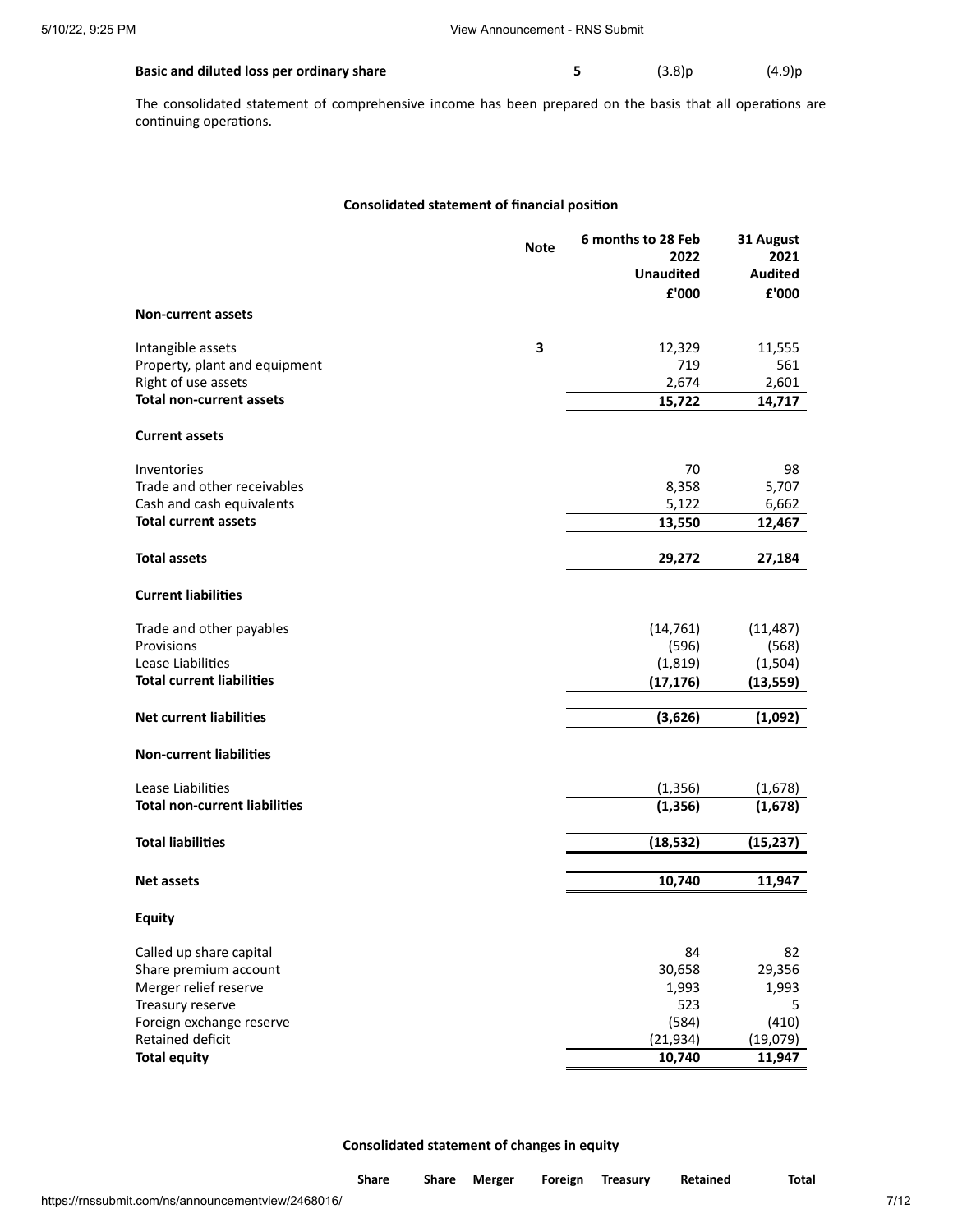| Basic and diluted loss per ordinary share | (3.8)p | (4.9)p |
|-------------------------------------------|--------|--------|
|                                           |        |        |

The consolidated statement of comprehensive income has been prepared on the basis that all operations are continuing operations.

# **Consolidated statement of financial position**

|                                                | <b>Note</b> | 6 months to 28 Feb<br>2022 | 31 August<br>2021 |
|------------------------------------------------|-------------|----------------------------|-------------------|
|                                                |             | <b>Unaudited</b>           | <b>Audited</b>    |
|                                                |             | £'000                      | £'000             |
| <b>Non-current assets</b>                      |             |                            |                   |
| Intangible assets                              | 3           | 12,329                     | 11,555            |
| Property, plant and equipment                  |             | 719                        | 561               |
| Right of use assets                            |             | 2,674                      | 2,601             |
| <b>Total non-current assets</b>                |             | 15,722                     | 14,717            |
| <b>Current assets</b>                          |             |                            |                   |
| Inventories                                    |             | 70                         | 98                |
| Trade and other receivables                    |             | 8,358                      | 5,707             |
| Cash and cash equivalents                      |             | 5,122                      | 6,662             |
| <b>Total current assets</b>                    |             | 13,550                     | 12,467            |
| <b>Total assets</b>                            |             | 29,272                     | 27,184            |
|                                                |             |                            |                   |
| <b>Current liabilities</b>                     |             |                            |                   |
| Trade and other payables                       |             | (14, 761)                  | (11, 487)         |
| Provisions                                     |             | (596)                      | (568)             |
| Lease Liabilities                              |             | (1, 819)                   | (1,504)           |
| <b>Total current liabilities</b>               |             | (17, 176)                  | (13, 559)         |
| <b>Net current liabilities</b>                 |             | (3,626)                    | (1,092)           |
| <b>Non-current liabilities</b>                 |             |                            |                   |
| Lease Liabilities                              |             | (1, 356)                   | (1,678)           |
| <b>Total non-current liabilities</b>           |             | (1, 356)                   | (1,678)           |
|                                                |             |                            |                   |
| <b>Total liabilities</b>                       |             | (18, 532)                  | (15, 237)         |
| <b>Net assets</b>                              |             | 10,740                     | 11,947            |
| <b>Equity</b>                                  |             |                            |                   |
|                                                |             |                            |                   |
| Called up share capital                        |             | 84                         | 82                |
| Share premium account<br>Merger relief reserve |             | 30,658<br>1,993            | 29,356<br>1,993   |
| Treasury reserve                               |             | 523                        | 5                 |
| Foreign exchange reserve                       |             | (584)                      | (410)             |
| Retained deficit                               |             | (21, 934)                  | (19,079)          |
| <b>Total equity</b>                            |             | 10,740                     | 11,947            |

**Consolidated statement of changes in equity**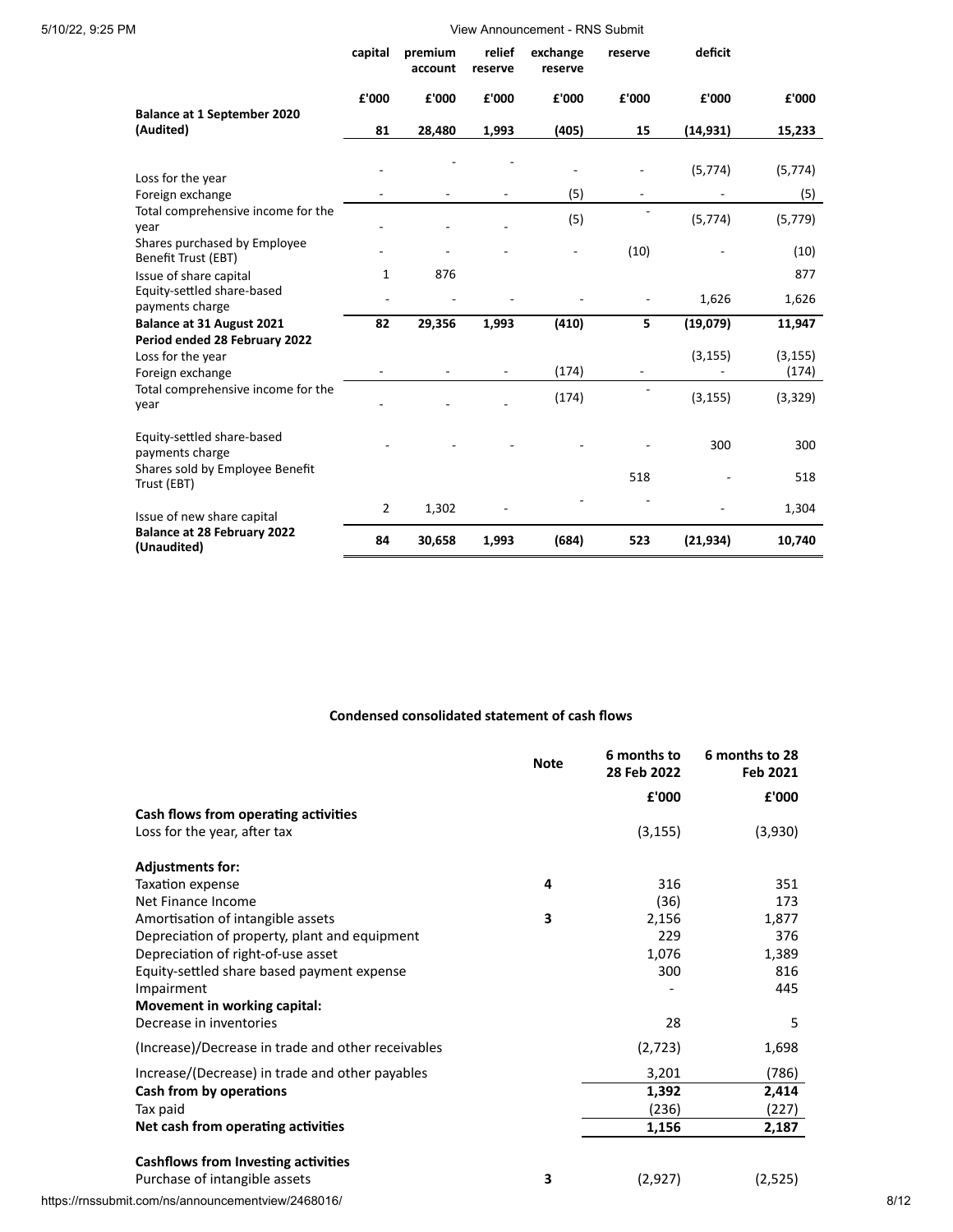|                                                                        | capital        | premium<br>account | relief<br>reserve | exchange<br>reserve | reserve                  | deficit   |                   |
|------------------------------------------------------------------------|----------------|--------------------|-------------------|---------------------|--------------------------|-----------|-------------------|
|                                                                        | £'000          | £'000              | £'000             | £'000               | £'000                    | £'000     | £'000             |
| <b>Balance at 1 September 2020</b><br>(Audited)                        | 81             | 28,480             | 1,993             | (405)               | 15                       | (14, 931) | 15,233            |
|                                                                        |                |                    |                   |                     |                          |           |                   |
| Loss for the year                                                      |                |                    |                   |                     | ٠                        | (5, 774)  | (5, 774)          |
| Foreign exchange                                                       |                |                    |                   | (5)                 | $\overline{\phantom{a}}$ |           | (5)               |
| Total comprehensive income for the<br>year                             |                |                    |                   | (5)                 |                          | (5, 774)  | (5, 779)          |
| Shares purchased by Employee<br>Benefit Trust (EBT)                    |                |                    |                   |                     | (10)                     |           | (10)              |
| Issue of share capital                                                 | 1              | 876                |                   |                     |                          |           | 877               |
| Equity-settled share-based<br>payments charge                          |                |                    |                   |                     |                          | 1,626     | 1,626             |
| <b>Balance at 31 August 2021</b>                                       | 82             | 29,356             | 1,993             | (410)               | 5                        | (19,079)  | 11,947            |
| Period ended 28 February 2022<br>Loss for the year<br>Foreign exchange |                |                    |                   | (174)               | $\overline{\phantom{m}}$ | (3, 155)  | (3, 155)<br>(174) |
| Total comprehensive income for the<br>year                             |                |                    |                   | (174)               |                          | (3, 155)  | (3, 329)          |
| Equity-settled share-based<br>payments charge                          |                |                    |                   |                     |                          | 300       | 300               |
| Shares sold by Employee Benefit<br>Trust (EBT)                         |                |                    |                   |                     | 518                      |           | 518               |
| Issue of new share capital                                             | $\overline{2}$ | 1,302              |                   |                     |                          |           | 1,304             |
| <b>Balance at 28 February 2022</b><br>(Unaudited)                      | 84             | 30,658             | 1,993             | (684)               | 523                      | (21, 934) | 10,740            |

# **Condensed consolidated statement of cash flows**

|                                                    | <b>Note</b> | 6 months to<br>28 Feb 2022 | 6 months to 28<br>Feb 2021 |
|----------------------------------------------------|-------------|----------------------------|----------------------------|
|                                                    |             | £'000                      | £'000                      |
| Cash flows from operating activities               |             |                            |                            |
| Loss for the year, after tax                       |             | (3, 155)                   | (3,930)                    |
| <b>Adjustments for:</b>                            |             |                            |                            |
| Taxation expense                                   | 4           | 316                        | 351                        |
| Net Finance Income                                 |             | (36)                       | 173                        |
| Amortisation of intangible assets                  | 3           | 2,156                      | 1,877                      |
| Depreciation of property, plant and equipment      |             | 229                        | 376                        |
| Depreciation of right-of-use asset                 |             | 1,076                      | 1,389                      |
| Equity-settled share based payment expense         |             | 300                        | 816                        |
| Impairment                                         |             |                            | 445                        |
| Movement in working capital:                       |             |                            |                            |
| Decrease in inventories                            |             | 28                         | 5                          |
| (Increase)/Decrease in trade and other receivables |             | (2,723)                    | 1,698                      |
| Increase/(Decrease) in trade and other payables    |             | 3,201                      | (786)                      |
| Cash from by operations                            |             | 1,392                      | 2,414                      |
| Tax paid                                           |             | (236)                      | (227)                      |
| Net cash from operating activities                 |             | 1,156                      | 2,187                      |
| Cashflows from Investing activities                |             |                            |                            |
| Purchase of intangible assets                      | 3           | (2,927)                    | (2,525)                    |

https://rnssubmit.com/ns/announcementview/2468016/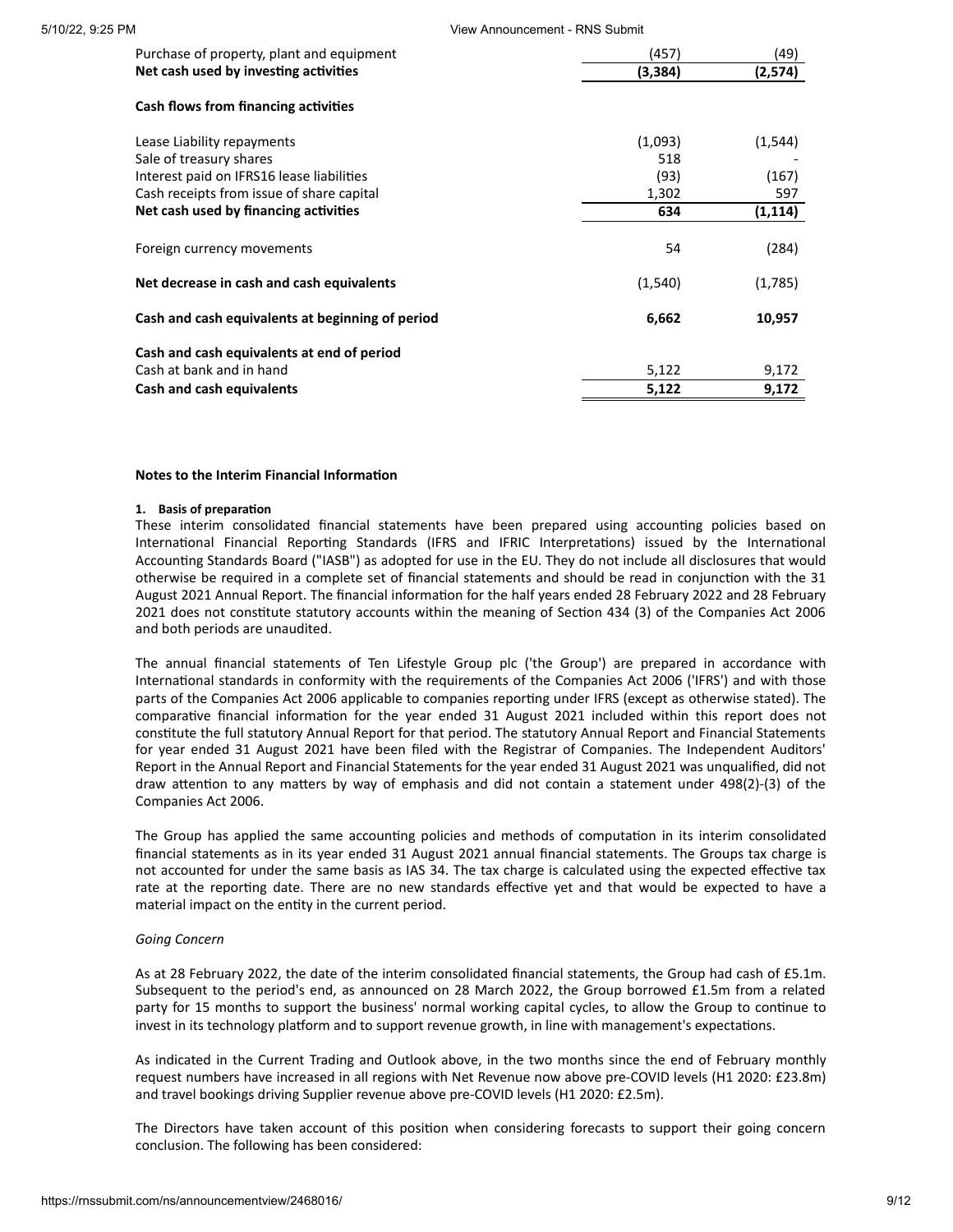| 5/10/22, 9:25 PM |                                                  | View Announcement - RNS Submit |          |  |  |
|------------------|--------------------------------------------------|--------------------------------|----------|--|--|
|                  | Purchase of property, plant and equipment        | (457)                          | (49)     |  |  |
|                  | Net cash used by investing activities            | (3,384)                        | (2, 574) |  |  |
|                  | Cash flows from financing activities             |                                |          |  |  |
|                  | Lease Liability repayments                       | (1,093)                        | (1, 544) |  |  |
|                  | Sale of treasury shares                          | 518                            |          |  |  |
|                  | Interest paid on IFRS16 lease liabilities        | (93)                           | (167)    |  |  |
|                  | Cash receipts from issue of share capital        | 1,302                          | 597      |  |  |
|                  | Net cash used by financing activities            | 634                            | (1, 114) |  |  |
|                  | Foreign currency movements                       | 54                             | (284)    |  |  |
|                  | Net decrease in cash and cash equivalents        | (1, 540)                       | (1,785)  |  |  |
|                  | Cash and cash equivalents at beginning of period | 6,662                          | 10,957   |  |  |
|                  | Cash and cash equivalents at end of period       |                                |          |  |  |
|                  | Cash at bank and in hand                         | 5,122                          | 9,172    |  |  |
|                  | Cash and cash equivalents                        | 5,122                          | 9,172    |  |  |
|                  |                                                  |                                |          |  |  |

### **Notes to the Interim Financial Information**

### **1. Basis of preparation**

These interim consolidated financial statements have been prepared using accounting policies based on International Financial Reporting Standards (IFRS and IFRIC Interpretations) issued by the International Accounting Standards Board ("IASB") as adopted for use in the EU. They do not include all disclosures that would otherwise be required in a complete set of financial statements and should be read in conjunction with the 31 August 2021 Annual Report. The financial information for the half years ended 28 February 2022 and 28 February 2021 does not constitute statutory accounts within the meaning of Section 434 (3) of the Companies Act 2006 and both periods are unaudited.

The annual financial statements of Ten Lifestyle Group plc ('the Group') are prepared in accordance with International standards in conformity with the requirements of the Companies Act 2006 ('IFRS') and with those parts of the Companies Act 2006 applicable to companies reporting under IFRS (except as otherwise stated). The comparative financial information for the year ended 31 August 2021 included within this report does not constitute the full statutory Annual Report for that period. The statutory Annual Report and Financial Statements for year ended 31 August 2021 have been filed with the Registrar of Companies. The Independent Auditors' Report in the Annual Report and Financial Statements for the year ended 31 August 2021 was unqualified, did not draw attention to any matters by way of emphasis and did not contain a statement under 498(2)-(3) of the Companies Act 2006.

The Group has applied the same accounting policies and methods of computation in its interim consolidated financial statements as in its year ended 31 August 2021 annual financial statements. The Groups tax charge is not accounted for under the same basis as IAS 34. The tax charge is calculated using the expected effective tax rate at the reporting date. There are no new standards effective yet and that would be expected to have a material impact on the entity in the current period.

# *Going Concern*

As at 28 February 2022, the date of the interim consolidated financial statements, the Group had cash of £5.1m. Subsequent to the period's end, as announced on 28 March 2022, the Group borrowed £1.5m from a related party for 15 months to support the business' normal working capital cycles, to allow the Group to continue to invest in its technology platform and to support revenue growth, in line with management's expectations.

As indicated in the Current Trading and Outlook above, in the two months since the end of February monthly request numbers have increased in all regions with Net Revenue now above pre-COVID levels (H1 2020: £23.8m) and travel bookings driving Supplier revenue above pre-COVID levels (H1 2020: £2.5m).

The Directors have taken account of this position when considering forecasts to support their going concern conclusion. The following has been considered: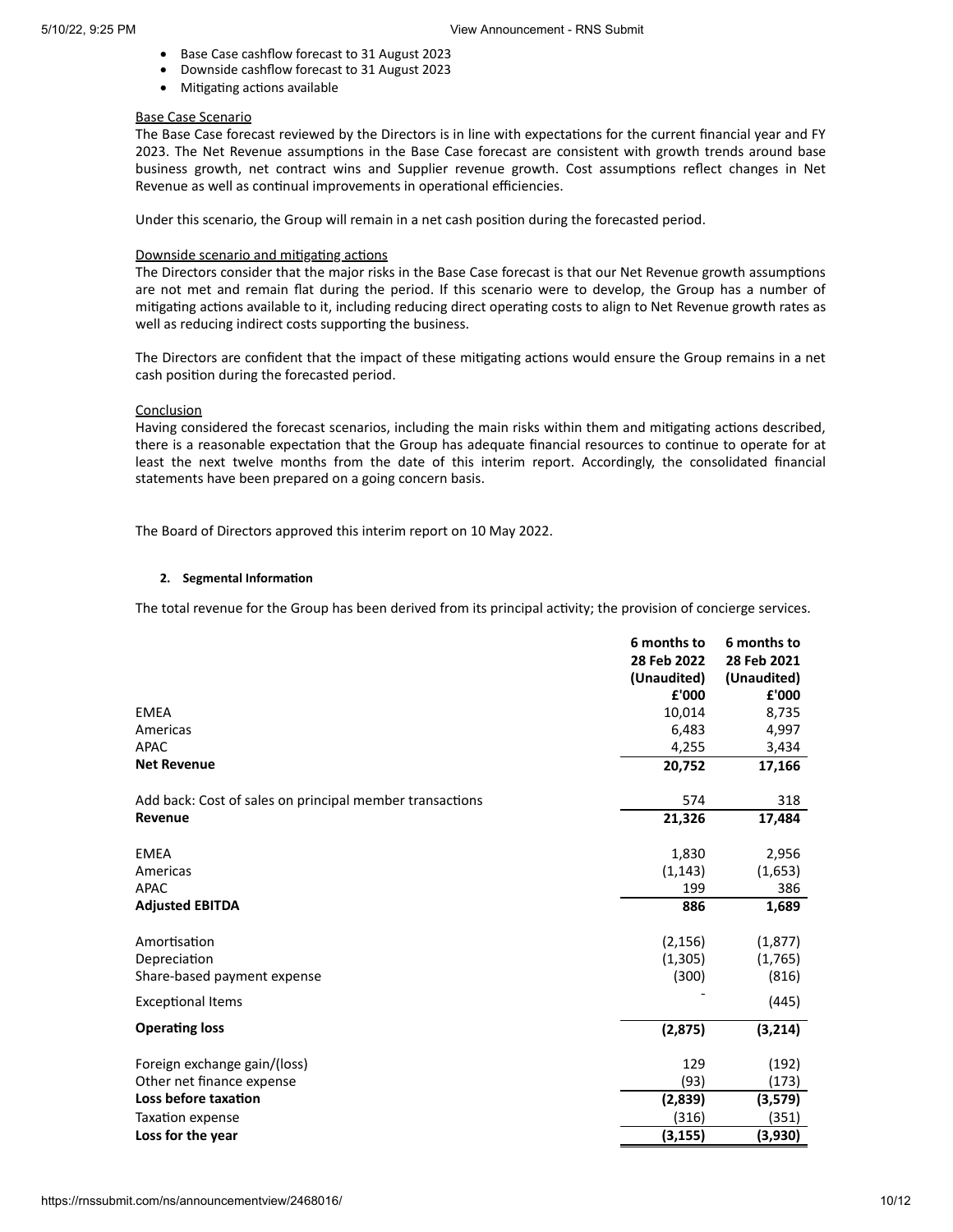- · Base Case cashflow forecast to 31 August 2023 · Downside cashflow forecast to 31 August 2023
- · Mitigating actions available

#### Base Case Scenario

The Base Case forecast reviewed by the Directors is in line with expectations for the current financial year and FY 2023. The Net Revenue assumptions in the Base Case forecast are consistent with growth trends around base business growth, net contract wins and Supplier revenue growth. Cost assumptions reflect changes in Net Revenue as well as continual improvements in operational efficiencies.

Under this scenario, the Group will remain in a net cash position during the forecasted period.

#### Downside scenario and mitigating actions

The Directors consider that the major risks in the Base Case forecast is that our Net Revenue growth assumptions are not met and remain flat during the period. If this scenario were to develop, the Group has a number of mitigating actions available to it, including reducing direct operating costs to align to Net Revenue growth rates as well as reducing indirect costs supporting the business.

The Directors are confident that the impact of these mitigating actions would ensure the Group remains in a net cash position during the forecasted period.

### **Conclusion**

Having considered the forecast scenarios, including the main risks within them and mitigating actions described, there is a reasonable expectation that the Group has adequate financial resources to continue to operate for at least the next twelve months from the date of this interim report. Accordingly, the consolidated financial statements have been prepared on a going concern basis.

The Board of Directors approved this interim report on 10 May 2022.

### **2. Segmental Information**

The total revenue for the Group has been derived from its principal activity; the provision of concierge services.

|                                                          | 6 months to<br>28 Feb 2022 | 6 months to<br>28 Feb 2021 |
|----------------------------------------------------------|----------------------------|----------------------------|
|                                                          | (Unaudited)                | (Unaudited)                |
|                                                          | £'000                      | £'000                      |
| <b>EMEA</b>                                              | 10,014                     | 8,735                      |
| Americas                                                 | 6,483                      | 4,997                      |
| <b>APAC</b>                                              | 4,255                      | 3,434                      |
| <b>Net Revenue</b>                                       | 20,752                     | 17,166                     |
| Add back: Cost of sales on principal member transactions | 574                        | 318                        |
| Revenue                                                  | 21,326                     | 17,484                     |
| <b>EMEA</b>                                              | 1,830                      | 2,956                      |
| Americas                                                 | (1, 143)                   | (1,653)                    |
| APAC                                                     | 199                        | 386                        |
| <b>Adjusted EBITDA</b>                                   | 886                        | 1,689                      |
| Amortisation                                             | (2, 156)                   | (1, 877)                   |
| Depreciation                                             | (1,305)                    | (1,765)                    |
| Share-based payment expense                              | (300)                      | (816)                      |
| <b>Exceptional Items</b>                                 |                            | (445)                      |
| <b>Operating loss</b>                                    | (2,875)                    | (3,214)                    |
| Foreign exchange gain/(loss)                             | 129                        | (192)                      |
| Other net finance expense                                | (93)                       | (173)                      |
| Loss before taxation                                     | (2,839)                    | (3,579)                    |
| Taxation expense                                         | (316)                      | (351)                      |
| Loss for the year                                        | (3, 155)                   | (3,930)                    |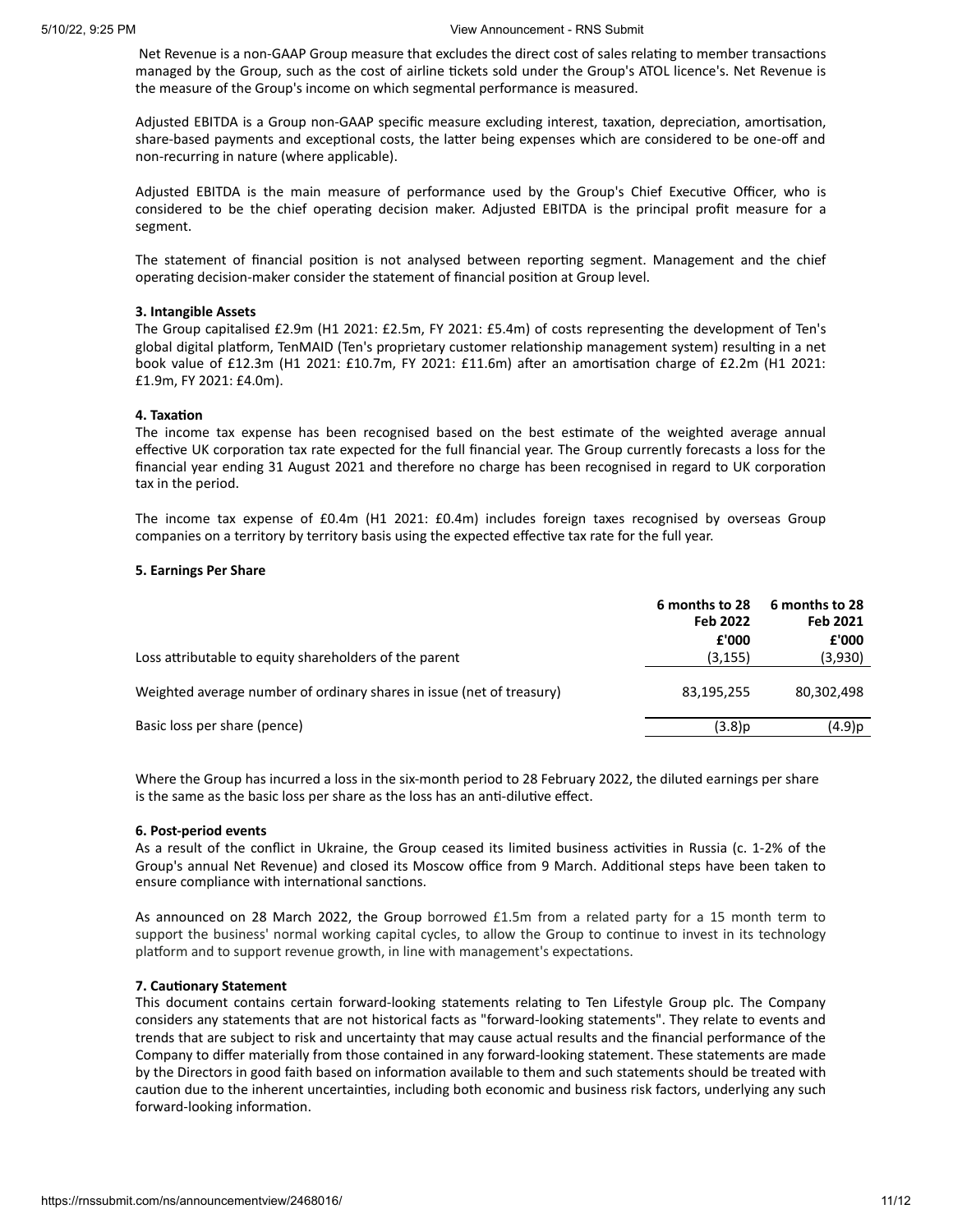Net Revenue is a non-GAAP Group measure that excludes the direct cost of sales relating to member transactions managed by the Group, such as the cost of airline tickets sold under the Group's ATOL licence's. Net Revenue is the measure of the Group's income on which segmental performance is measured.

Adjusted EBITDA is a Group non-GAAP specific measure excluding interest, taxation, depreciation, amortisation, share-based payments and exceptional costs, the latter being expenses which are considered to be one-off and non-recurring in nature (where applicable).

Adjusted EBITDA is the main measure of performance used by the Group's Chief Executive Officer, who is considered to be the chief operating decision maker. Adjusted EBITDA is the principal profit measure for a segment.

The statement of financial position is not analysed between reporting segment. Management and the chief operating decision-maker consider the statement of financial position at Group level.

#### **3. Intangible Assets**

The Group capitalised £2.9m (H1 2021: £2.5m, FY 2021: £5.4m) of costs representing the development of Ten's global digital platform, TenMAID (Ten's proprietary customer relationship management system) resulting in a net book value of £12.3m (H1 2021: £10.7m, FY 2021: £11.6m) after an amortisation charge of £2.2m (H1 2021: £1.9m, FY 2021: £4.0m).

#### **4. Taxation**

The income tax expense has been recognised based on the best estimate of the weighted average annual effective UK corporation tax rate expected for the full financial year. The Group currently forecasts a loss for the financial year ending 31 August 2021 and therefore no charge has been recognised in regard to UK corporation tax in the period.

The income tax expense of £0.4m (H1 2021: £0.4m) includes foreign taxes recognised by overseas Group companies on a territory by territory basis using the expected effective tax rate for the full year.

## **5. Earnings Per Share**

|                                                                       | 6 months to 28<br>Feb 2022<br>£'000 | 6 months to 28<br>Feb 2021<br>£'000 |
|-----------------------------------------------------------------------|-------------------------------------|-------------------------------------|
| Loss attributable to equity shareholders of the parent                | (3, 155)                            | (3,930)                             |
| Weighted average number of ordinary shares in issue (net of treasury) | 83,195,255                          | 80,302,498                          |
| Basic loss per share (pence)                                          | (3.8)p                              | (4.9)p                              |

Where the Group has incurred a loss in the six-month period to 28 February 2022, the diluted earnings per share is the same as the basic loss per share as the loss has an anti-dilutive effect.

## **6. Post-period events**

As a result of the conflict in Ukraine, the Group ceased its limited business activities in Russia (c. 1-2% of the Group's annual Net Revenue) and closed its Moscow office from 9 March. Additional steps have been taken to ensure compliance with international sanctions.

As announced on 28 March 2022, the Group borrowed £1.5m from a related party for a 15 month term to support the business' normal working capital cycles, to allow the Group to continue to invest in its technology platform and to support revenue growth, in line with management's expectations.

#### **7. Cautionary Statement**

This document contains certain forward-looking statements relating to Ten Lifestyle Group plc. The Company considers any statements that are not historical facts as "forward-looking statements". They relate to events and trends that are subject to risk and uncertainty that may cause actual results and the financial performance of the Company to differ materially from those contained in any forward-looking statement. These statements are made by the Directors in good faith based on information available to them and such statements should be treated with caution due to the inherent uncertainties, including both economic and business risk factors, underlying any such forward-looking information.